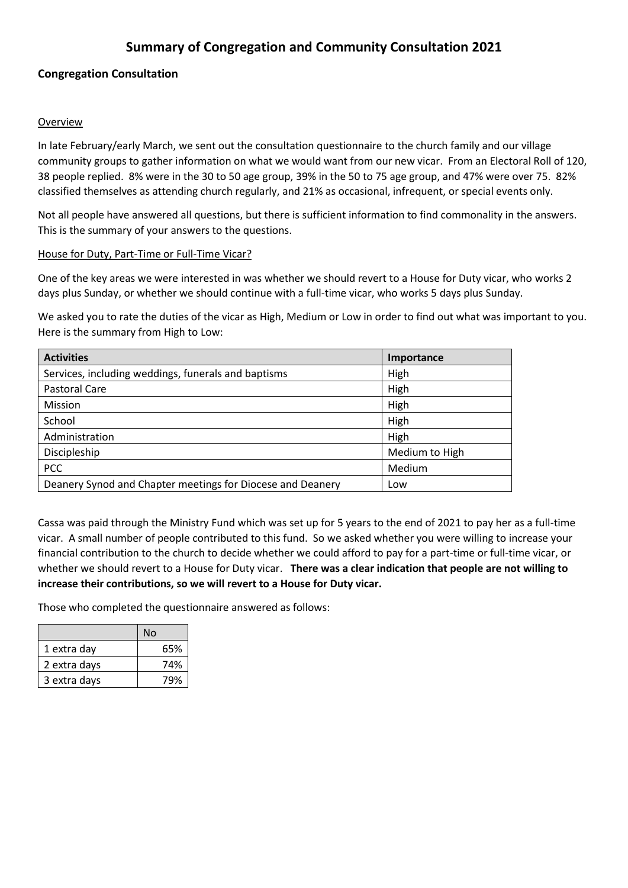# **Summary of Congregation and Community Consultation 2021**

# **Congregation Consultation**

#### Overview

In late February/early March, we sent out the consultation questionnaire to the church family and our village community groups to gather information on what we would want from our new vicar. From an Electoral Roll of 120, 38 people replied. 8% were in the 30 to 50 age group, 39% in the 50 to 75 age group, and 47% were over 75. 82% classified themselves as attending church regularly, and 21% as occasional, infrequent, or special events only.

Not all people have answered all questions, but there is sufficient information to find commonality in the answers. This is the summary of your answers to the questions.

#### House for Duty, Part-Time or Full-Time Vicar?

One of the key areas we were interested in was whether we should revert to a House for Duty vicar, who works 2 days plus Sunday, or whether we should continue with a full-time vicar, who works 5 days plus Sunday.

We asked you to rate the duties of the vicar as High, Medium or Low in order to find out what was important to you. Here is the summary from High to Low:

| <b>Activities</b>                                          | Importance     |
|------------------------------------------------------------|----------------|
| Services, including weddings, funerals and baptisms        | High           |
| Pastoral Care                                              | High           |
| Mission                                                    | High           |
| School                                                     | High           |
| Administration                                             | High           |
| Discipleship                                               | Medium to High |
| <b>PCC</b>                                                 | Medium         |
| Deanery Synod and Chapter meetings for Diocese and Deanery | Low            |

Cassa was paid through the Ministry Fund which was set up for 5 years to the end of 2021 to pay her as a full-time vicar. A small number of people contributed to this fund. So we asked whether you were willing to increase your financial contribution to the church to decide whether we could afford to pay for a part-time or full-time vicar, or whether we should revert to a House for Duty vicar. **There was a clear indication that people are not willing to increase their contributions, so we will revert to a House for Duty vicar.**

Those who completed the questionnaire answered as follows:

|              | No  |
|--------------|-----|
| 1 extra day  | 65% |
| 2 extra days | 74% |
| 3 extra days | 79% |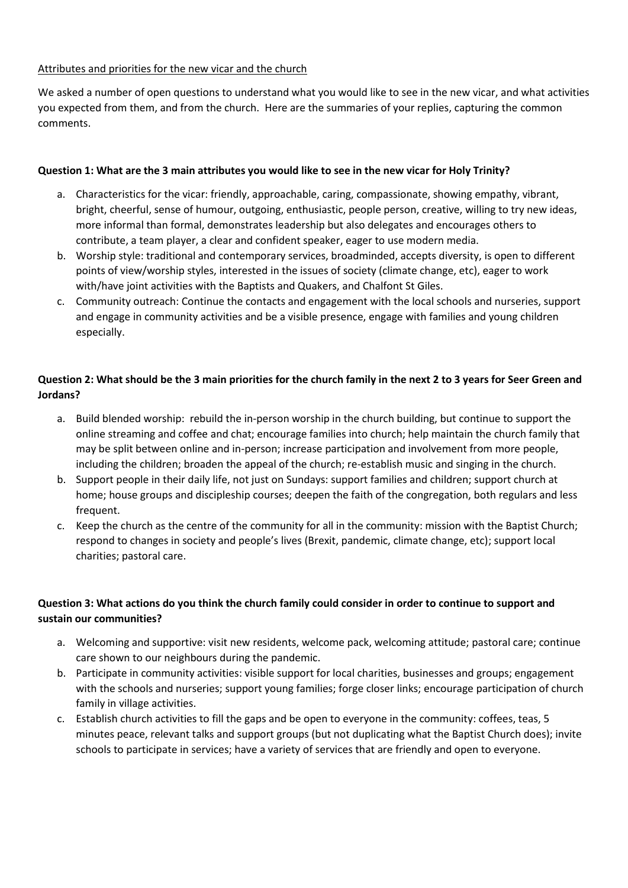#### Attributes and priorities for the new vicar and the church

We asked a number of open questions to understand what you would like to see in the new vicar, and what activities you expected from them, and from the church. Here are the summaries of your replies, capturing the common comments.

#### **Question 1: What are the 3 main attributes you would like to see in the new vicar for Holy Trinity?**

- a. Characteristics for the vicar: friendly, approachable, caring, compassionate, showing empathy, vibrant, bright, cheerful, sense of humour, outgoing, enthusiastic, people person, creative, willing to try new ideas, more informal than formal, demonstrates leadership but also delegates and encourages others to contribute, a team player, a clear and confident speaker, eager to use modern media.
- b. Worship style: traditional and contemporary services, broadminded, accepts diversity, is open to different points of view/worship styles, interested in the issues of society (climate change, etc), eager to work with/have joint activities with the Baptists and Quakers, and Chalfont St Giles.
- c. Community outreach: Continue the contacts and engagement with the local schools and nurseries, support and engage in community activities and be a visible presence, engage with families and young children especially.

# **Question 2: What should be the 3 main priorities for the church family in the next 2 to 3 years for Seer Green and Jordans?**

- a. Build blended worship: rebuild the in-person worship in the church building, but continue to support the online streaming and coffee and chat; encourage families into church; help maintain the church family that may be split between online and in-person; increase participation and involvement from more people, including the children; broaden the appeal of the church; re-establish music and singing in the church.
- b. Support people in their daily life, not just on Sundays: support families and children; support church at home; house groups and discipleship courses; deepen the faith of the congregation, both regulars and less frequent.
- c. Keep the church as the centre of the community for all in the community: mission with the Baptist Church; respond to changes in society and people's lives (Brexit, pandemic, climate change, etc); support local charities; pastoral care.

# **Question 3: What actions do you think the church family could consider in order to continue to support and sustain our communities?**

- a. Welcoming and supportive: visit new residents, welcome pack, welcoming attitude; pastoral care; continue care shown to our neighbours during the pandemic.
- b. Participate in community activities: visible support for local charities, businesses and groups; engagement with the schools and nurseries; support young families; forge closer links; encourage participation of church family in village activities.
- c. Establish church activities to fill the gaps and be open to everyone in the community: coffees, teas, 5 minutes peace, relevant talks and support groups (but not duplicating what the Baptist Church does); invite schools to participate in services; have a variety of services that are friendly and open to everyone.